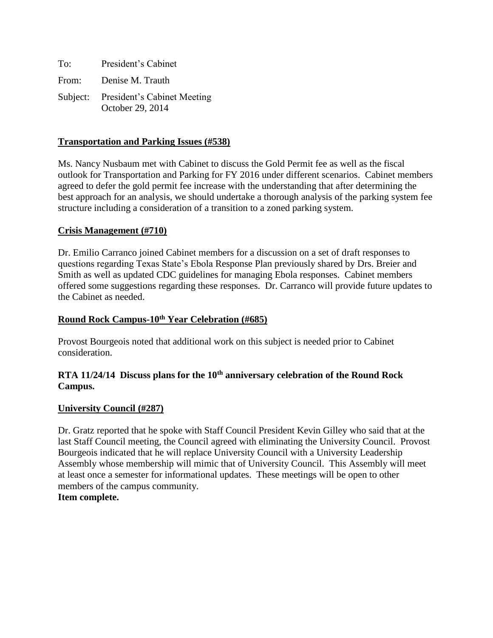| To: | President's Cabinet                                      |
|-----|----------------------------------------------------------|
|     | From: Denise M. Trauth                                   |
|     | Subject: President's Cabinet Meeting<br>October 29, 2014 |

### **Transportation and Parking Issues (#538)**

Ms. Nancy Nusbaum met with Cabinet to discuss the Gold Permit fee as well as the fiscal outlook for Transportation and Parking for FY 2016 under different scenarios. Cabinet members agreed to defer the gold permit fee increase with the understanding that after determining the best approach for an analysis, we should undertake a thorough analysis of the parking system fee structure including a consideration of a transition to a zoned parking system.

### **Crisis Management (#710)**

Dr. Emilio Carranco joined Cabinet members for a discussion on a set of draft responses to questions regarding Texas State's Ebola Response Plan previously shared by Drs. Breier and Smith as well as updated CDC guidelines for managing Ebola responses. Cabinet members offered some suggestions regarding these responses. Dr. Carranco will provide future updates to the Cabinet as needed.

#### **Round Rock Campus-10th Year Celebration (#685)**

Provost Bourgeois noted that additional work on this subject is needed prior to Cabinet consideration.

## **RTA 11/24/14 Discuss plans for the 10th anniversary celebration of the Round Rock Campus.**

### **University Council (#287)**

Dr. Gratz reported that he spoke with Staff Council President Kevin Gilley who said that at the last Staff Council meeting, the Council agreed with eliminating the University Council. Provost Bourgeois indicated that he will replace University Council with a University Leadership Assembly whose membership will mimic that of University Council. This Assembly will meet at least once a semester for informational updates. These meetings will be open to other members of the campus community.

### **Item complete.**